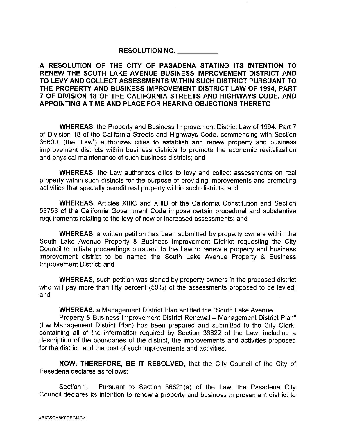## **RESOLUTION NO.**

**A RESOLUTION OF THE CITY OF PASADENA STATING ITS INTENTION TO RENEW THE SOUTH LAKE AVENUE BUSINESS IMPROVEMENT DISTRICT AND TO LEVY AND COLLECT ASSESSMENTS WITHIN SUCH DISTRICT PURSUANT TO THE PROPERTY AND BUSINESS IMPROVEMENT DISTRICT LAW OF 1994, PART 7 OF DIVISION 18 OF THE CALIFORNIA STREETS AND HIGHWAYS CODE, AND APPOINTING A TIME AND PLACE FOR HEARING OBJECTIONS THERETO** 

**WHEREAS,** the Property and Business Improvement District Law of 1994, Part 7 of Division 18 of the California Streets and Highways Code, commencing with Section 36600, (the "Law") authorizes cities to establish and renew property and business improvement districts within business districts to promote the economic revitalization and physical maintenance of such business districts; and

**WHEREAS,** the Law authorizes cities to levy and collect assessments on real property within such districts for the purpose of providing improvements and promoting activities that specially benefit real property within such districts; and

**WHEREAS,** Articles XlllC and XIIID of the California Constitution and Section 53753 of the California Government Code impose certain procedural and substantive requirements relating to the levy of new or increased assessments; and

**WHEREAS,** a written petition has been submitted by property owners within the South Lake Avenue Property & Business Improvement District requesting the City Council to initiate proceedings pursuant to the Law to renew a property and business improvement district to be named the South Lake Avenue Property & Business Improvement District; and

**WHEREAS,** such petition was signed by property owners in the proposed district who will pay more than fifty percent (50%) of the assessments proposed to be levied; and

**WHEREAS,** a Management District Plan entitled the "South Lake Avenue

Property & Business Improvement District Renewal - Management District Plan" (the Management District Plan) has been prepared and submitted to the City Clerk, containing all of the information required by Section 36622 of the Law, including a description of the boundaries of the district, the improvements and activities proposed for the district, and the cost of such improvements and activities.

**NOW, THEREFORE, BE IT RESOLVED,** that the City Council of the City of Pasadena declares as follows:

Section 1. Pursuant to Section 36621(a) of the Law, the Pasadena City Council declares its intention to renew a property and business improvement district to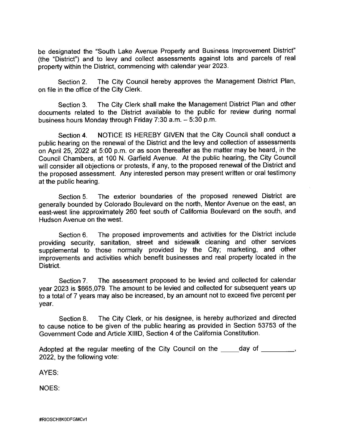be designated the "South Lake Avenue Property and Business Improvement District" (the "District") and to levy and collect assessments against lots and parcels of real property within the District, commencing with calendar year 2023.

Section 2. The City Council hereby approves the Management District Plan, on file in the office of the City Clerk.

Section 3. The City Clerk shall make the Management District Plan and other documents related to the District available to the public for review during normal business hours Monday through Friday 7:30 a.m. - 5:30 p.m.

Section 4. NOTICE IS HEREBY GIVEN that the City Council shall conduct a public hearing on the renewal of the District and the levy and collection of assessments on April 25, 2022 at 5:00 p.m. or as soon thereafter as the matter may be heard, in the Council Chambers, at 100 N. Garfield Avenue. At the public hearing, the City Council will consider all objections or protests, if any, to the proposed renewal of the District and the proposed assessment. Any interested person may present written or oral testimony at the public hearing.

Section 5. The exterior boundaries of the proposed renewed District are generally bounded by Colorado Boulevard on the north, Mentor Avenue on the east, an east-west line approximately 260 feet south of California Boulevard on the south, and Hudson Avenue on the west.

Section 6. The proposed improvements and activities for the District include providing security, sanitation, street and sidewalk cleaning and other services supplemental to those normally provided by the City; marketing, and other improvements and activities which benefit businesses and real property located in the District.

Section 7. The assessment proposed to be levied and collected for calendar year 2023 is \$665,079. The amount to be levied and collected for subsequent years up to a total of 7 years may also be increased, by an amount not to exceed five percent per year.

Section 8. The City Clerk, or his designee, is hereby authorized and directed to cause notice to be given of the public hearing as provided in Section 53753 of the Government Code and Article XIIID, Section 4 of the California Constitution.

Adopted at the regular meeting of the City Council on the day of \_\_\_\_\_\_\_\_, 2022, by the following vote:

AYES:

NOES: